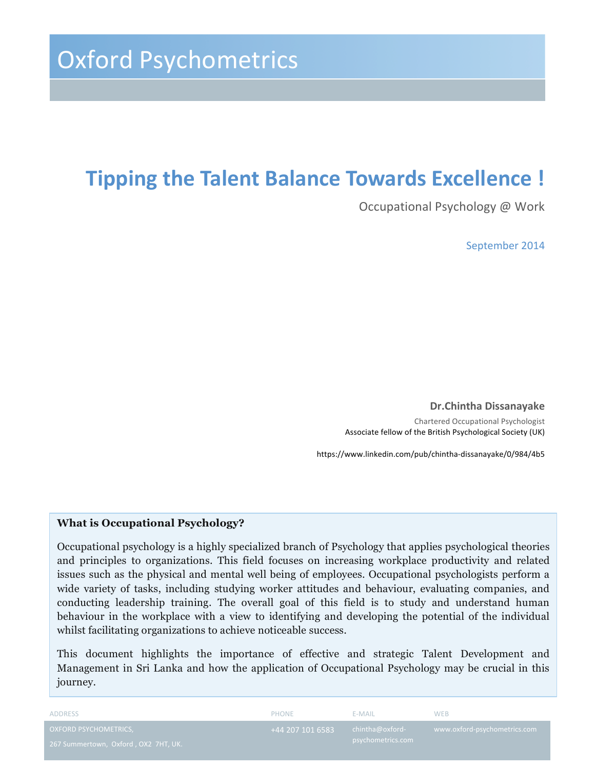### **Tipping the Talent Balance Towards Excellence !**

Occupational Psychology @ Work

September 2014

**Dr.Chintha Dissanayake**  Chartered Occupational Psychologist Associate fellow of the British Psychological Society (UK)

https://www.linkedin.com/pub/chintha-dissanayake/0/984/4b5

#### **What is Occupational Psychology?**

Occupational psychology is a highly specialized branch of Psychology that applies psychological theories and principles to organizations. This field focuses on increasing workplace productivity and related issues such as the physical and mental well being of employees. Occupational psychologists perform a wide variety of tasks, including studying worker attitudes and behaviour, evaluating companies, and conducting leadership training. The overall goal of this field is to study and understand human behaviour in the workplace with a view to identifying and developing the potential of the individual whilst facilitating organizations to achieve noticeable success.

This document highlights the importance of effective and strategic Talent Development and Management in Sri Lanka and how the application of Occupational Psychology may be crucial in this journey.

| ADDRESS                              | PHONE           | E-MAIL.           | <b>WEB</b>                   |
|--------------------------------------|-----------------|-------------------|------------------------------|
| <b>OXFORD PSYCHOMETRICS,</b>         | $+442071016583$ | chintha@oxford-   | www.oxford-psychometrics.com |
| 267 Summertown, Oxford, OX2 7HT, UK. |                 | psychometrics.com |                              |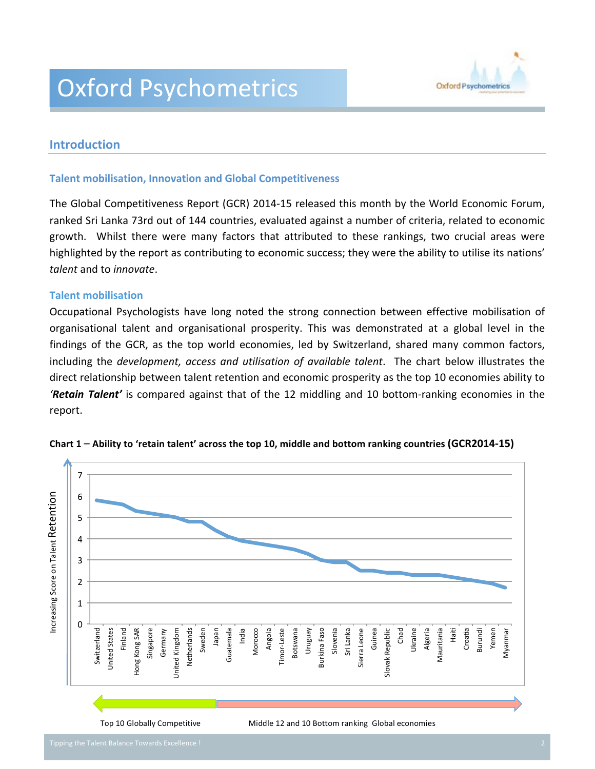## Oxford Psychometrics



### **Introduction**

#### **Talent mobilisation, Innovation and Global Competitiveness**

The Global Competitiveness Report (GCR) 2014-15 released this month by the World Economic Forum, ranked Sri Lanka 73rd out of 144 countries, evaluated against a number of criteria, related to economic growth. Whilst there were many factors that attributed to these rankings, two crucial areas were highlighted by the report as contributing to economic success; they were the ability to utilise its nations' *talent* and to *innovate*.

ļ

#### **Talent mobilisation**

Occupational Psychologists have long noted the strong connection between effective mobilisation of organisational talent and organisational prosperity. This was demonstrated at a global level in the findings of the GCR, as the top world economies, led by Switzerland, shared many common factors, including the *development, access and utilisation of available talent*. The chart below illustrates the direct relationship between talent retention and economic prosperity as the top 10 economies ability to *'Retain Talent'* is compared against that of the 12 middling and 10 bottom-ranking economies in the report.